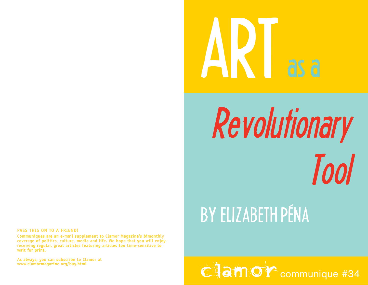# ART as a

## Revolutionary Tool

## BY ELIZABETH PÉNA

Clamor communique #34

### **PASS THIS ON TO A FRIEND!**

**Communiques are an e-mail supplement to Clamor Magazine's bimonthly coverage of politics, culture, media and life. We hope that you will enjoy receiving regular, great articles featuring articles too time-sensitive to wait for print.** 

**As always, you can subscribe to Clamor at**